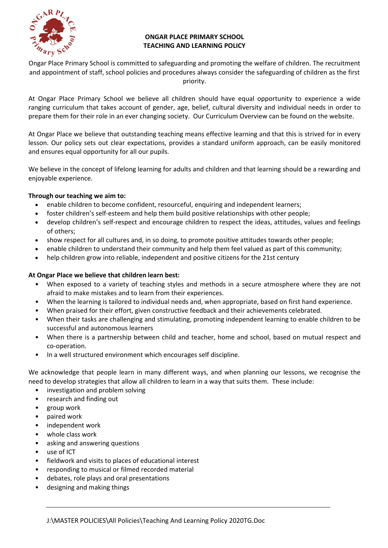

## **ONGAR PLACE PRIMARY SCHOOL TEACHING AND LEARNING POLICY**

Ongar Place Primary School is committed to safeguarding and promoting the welfare of children. The recruitment and appointment of staff, school policies and procedures always consider the safeguarding of children as the first priority.

At Ongar Place Primary School we believe all children should have equal opportunity to experience a wide ranging curriculum that takes account of gender, age, belief, cultural diversity and individual needs in order to prepare them for their role in an ever changing society. Our Curriculum Overview can be found on the website.

At Ongar Place we believe that outstanding teaching means effective learning and that this is strived for in every lesson. Our policy sets out clear expectations, provides a standard uniform approach, can be easily monitored and ensures equal opportunity for all our pupils.

We believe in the concept of lifelong learning for adults and children and that learning should be a rewarding and enjoyable experience.

# **Through our teaching we aim to:**

- enable children to become confident, resourceful, enquiring and independent learners;
- foster children's self-esteem and help them build positive relationships with other people;
- develop children's self-respect and encourage children to respect the ideas, attitudes, values and feelings of others;
- show respect for all cultures and, in so doing, to promote positive attitudes towards other people;
- enable children to understand their community and help them feel valued as part of this community;
- help children grow into reliable, independent and positive citizens for the 21st century

# **At Ongar Place we believe that children learn best:**

- When exposed to a variety of teaching styles and methods in a secure atmosphere where they are not afraid to make mistakes and to learn from their experiences.
- When the learning is tailored to individual needs and, when appropriate, based on first hand experience.
- When praised for their effort, given constructive feedback and their achievements celebrated.
- When their tasks are challenging and stimulating, promoting independent learning to enable children to be successful and autonomous learners
- When there is a partnership between child and teacher, home and school, based on mutual respect and co-operation.
- In a well structured environment which encourages self discipline.

We acknowledge that people learn in many different ways, and when planning our lessons, we recognise the need to develop strategies that allow all children to learn in a way that suits them. These include:

- investigation and problem solving
- research and finding out
- group work
- paired work
- independent work
- whole class work
- asking and answering questions
- use of ICT
- fieldwork and visits to places of educational interest
- responding to musical or filmed recorded material
- debates, role plays and oral presentations
- designing and making things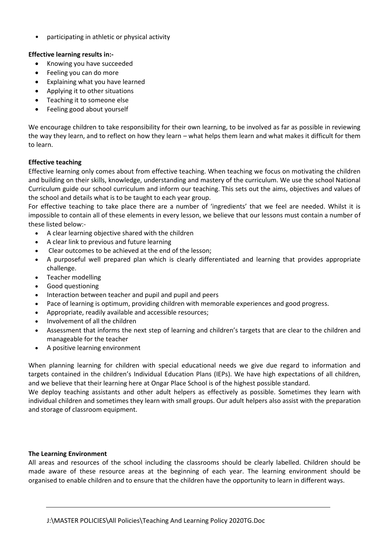• participating in athletic or physical activity

## **Effective learning results in:-**

- Knowing you have succeeded
- Feeling you can do more
- Explaining what you have learned
- Applying it to other situations
- Teaching it to someone else
- Feeling good about yourself

We encourage children to take responsibility for their own learning, to be involved as far as possible in reviewing the way they learn, and to reflect on how they learn – what helps them learn and what makes it difficult for them to learn.

## **Effective teaching**

Effective learning only comes about from effective teaching. When teaching we focus on motivating the children and building on their skills, knowledge, understanding and mastery of the curriculum. We use the school National Curriculum guide our school curriculum and inform our teaching. This sets out the aims, objectives and values of the school and details what is to be taught to each year group.

For effective teaching to take place there are a number of 'ingredients' that we feel are needed. Whilst it is impossible to contain all of these elements in every lesson, we believe that our lessons must contain a number of these listed below:-

- A clear learning objective shared with the children
- A clear link to previous and future learning
- Clear outcomes to be achieved at the end of the lesson;
- A purposeful well prepared plan which is clearly differentiated and learning that provides appropriate challenge.
- Teacher modelling
- Good questioning
- Interaction between teacher and pupil and pupil and peers
- Pace of learning is optimum, providing children with memorable experiences and good progress.
- Appropriate, readily available and accessible resources;
- Involvement of all the children
- Assessment that informs the next step of learning and children's targets that are clear to the children and manageable for the teacher
- A positive learning environment

When planning learning for children with special educational needs we give due regard to information and targets contained in the children's Individual Education Plans (IEPs). We have high expectations of all children, and we believe that their learning here at Ongar Place School is of the highest possible standard.

We deploy teaching assistants and other adult helpers as effectively as possible. Sometimes they learn with individual children and sometimes they learn with small groups. Our adult helpers also assist with the preparation and storage of classroom equipment.

### **The Learning Environment**

All areas and resources of the school including the classrooms should be clearly labelled. Children should be made aware of these resource areas at the beginning of each year. The learning environment should be organised to enable children and to ensure that the children have the opportunity to learn in different ways.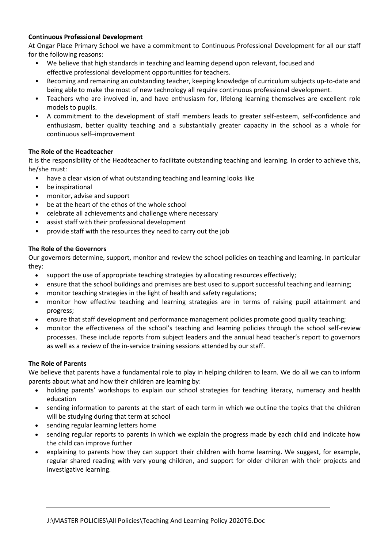# **Continuous Professional Development**

At Ongar Place Primary School we have a commitment to Continuous Professional Development for all our staff for the following reasons:

- We believe that high standards in teaching and learning depend upon relevant, focused and effective professional development opportunities for teachers.
- Becoming and remaining an outstanding teacher, keeping knowledge of curriculum subjects up-to-date and being able to make the most of new technology all require continuous professional development.
- Teachers who are involved in, and have enthusiasm for, lifelong learning themselves are excellent role models to pupils.
- A commitment to the development of staff members leads to greater self-esteem, self-confidence and enthusiasm, better quality teaching and a substantially greater capacity in the school as a whole for continuous self–improvement

## **The Role of the Headteacher**

It is the responsibility of the Headteacher to facilitate outstanding teaching and learning. In order to achieve this, he/she must:

- have a clear vision of what outstanding teaching and learning looks like
- be inspirational
- monitor, advise and support
- be at the heart of the ethos of the whole school
- celebrate all achievements and challenge where necessary
- assist staff with their professional development
- provide staff with the resources they need to carry out the job

### **The Role of the Governors**

Our governors determine, support, monitor and review the school policies on teaching and learning. In particular they:

- support the use of appropriate teaching strategies by allocating resources effectively;
- ensure that the school buildings and premises are best used to support successful teaching and learning;
- monitor teaching strategies in the light of health and safety regulations;
- monitor how effective teaching and learning strategies are in terms of raising pupil attainment and progress;
- ensure that staff development and performance management policies promote good quality teaching;
- monitor the effectiveness of the school's teaching and learning policies through the school self-review processes. These include reports from subject leaders and the annual head teacher's report to governors as well as a review of the in-service training sessions attended by our staff.

### **The Role of Parents**

We believe that parents have a fundamental role to play in helping children to learn. We do all we can to inform parents about what and how their children are learning by:

- holding parents' workshops to explain our school strategies for teaching literacy, numeracy and health education
- sending information to parents at the start of each term in which we outline the topics that the children will be studying during that term at school
- sending regular learning letters home
- sending regular reports to parents in which we explain the progress made by each child and indicate how the child can improve further
- explaining to parents how they can support their children with home learning. We suggest, for example, regular shared reading with very young children, and support for older children with their projects and investigative learning.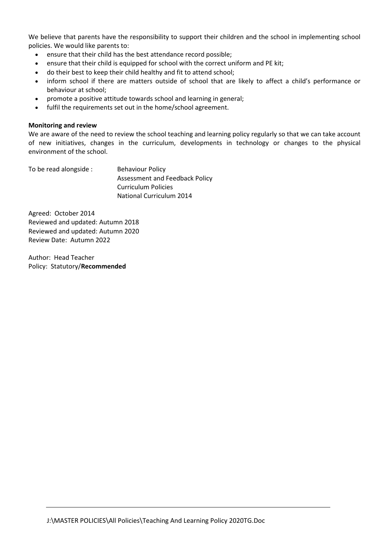We believe that parents have the responsibility to support their children and the school in implementing school policies. We would like parents to:

- ensure that their child has the best attendance record possible;
- ensure that their child is equipped for school with the correct uniform and PE kit;
- do their best to keep their child healthy and fit to attend school;
- inform school if there are matters outside of school that are likely to affect a child's performance or behaviour at school;
- promote a positive attitude towards school and learning in general;
- fulfil the requirements set out in the home/school agreement.

### **Monitoring and review**

We are aware of the need to review the school teaching and learning policy regularly so that we can take account of new initiatives, changes in the curriculum, developments in technology or changes to the physical environment of the school.

| To be read alongside : | <b>Behaviour Policy</b>        |
|------------------------|--------------------------------|
|                        | Assessment and Feedback Policy |
|                        | <b>Curriculum Policies</b>     |
|                        | National Curriculum 2014       |

Agreed: October 2014 Reviewed and updated: Autumn 2018 Reviewed and updated: Autumn 2020 Review Date: Autumn 2022

Author: Head Teacher Policy: Statutory/**Recommended**